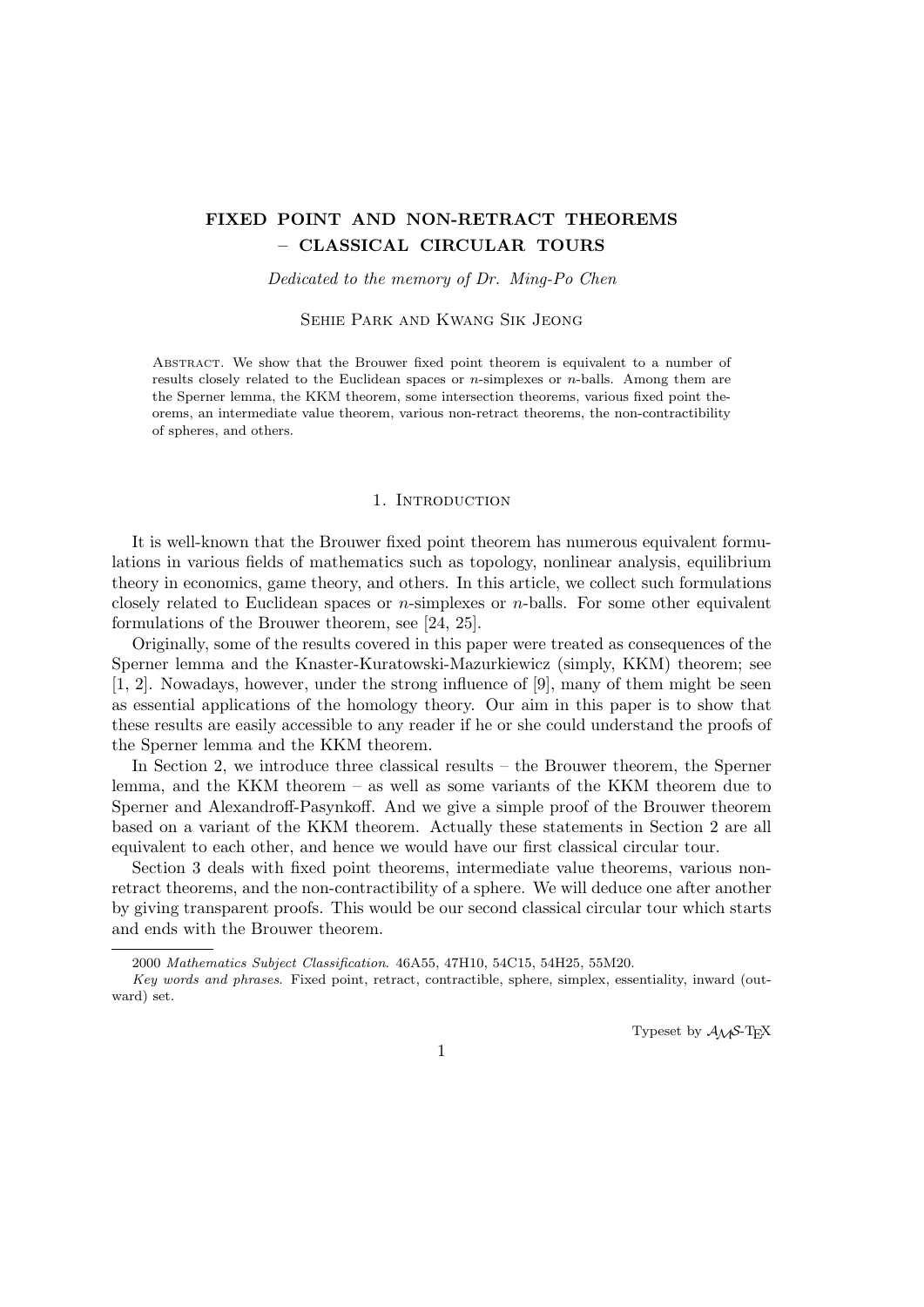# **FIXED POINT AND NON-RETRACT THEOREMS – CLASSICAL CIRCULAR TOURS**

*Dedicated to the memory of Dr. Ming-Po Chen*

Sehie Park and Kwang Sik Jeong

ABSTRACT. We show that the Brouwer fixed point theorem is equivalent to a number of results closely related to the Euclidean spaces or *n*-simplexes or *n*-balls. Among them are the Sperner lemma, the KKM theorem, some intersection theorems, various fixed point theorems, an intermediate value theorem, various non-retract theorems, the non-contractibility of spheres, and others.

### 1. INTRODUCTION

It is well-known that the Brouwer fixed point theorem has numerous equivalent formulations in various fields of mathematics such as topology, nonlinear analysis, equilibrium theory in economics, game theory, and others. In this article, we collect such formulations closely related to Euclidean spaces or *n*-simplexes or *n*-balls. For some other equivalent formulations of the Brouwer theorem, see [24, 25].

Originally, some of the results covered in this paper were treated as consequences of the Sperner lemma and the Knaster-Kuratowski-Mazurkiewicz (simply, KKM) theorem; see [1, 2]. Nowadays, however, under the strong influence of [9], many of them might be seen as essential applications of the homology theory. Our aim in this paper is to show that these results are easily accessible to any reader if he or she could understand the proofs of the Sperner lemma and the KKM theorem.

In Section 2, we introduce three classical results – the Brouwer theorem, the Sperner lemma, and the KKM theorem – as well as some variants of the KKM theorem due to Sperner and Alexandroff-Pasynkoff. And we give a simple proof of the Brouwer theorem based on a variant of the KKM theorem. Actually these statements in Section 2 are all equivalent to each other, and hence we would have our first classical circular tour.

Section 3 deals with fixed point theorems, intermediate value theorems, various nonretract theorems, and the non-contractibility of a sphere. We will deduce one after another by giving transparent proofs. This would be our second classical circular tour which starts and ends with the Brouwer theorem.

Typeset by  $A_{\mathcal{M}}S$ -T<sub>F</sub>X

<sup>2000</sup> *Mathematics Subject Classification*. 46A55, 47H10, 54C15, 54H25, 55M20.

*Key words and phrases*. Fixed point, retract, contractible, sphere, simplex, essentiality, inward (outward) set.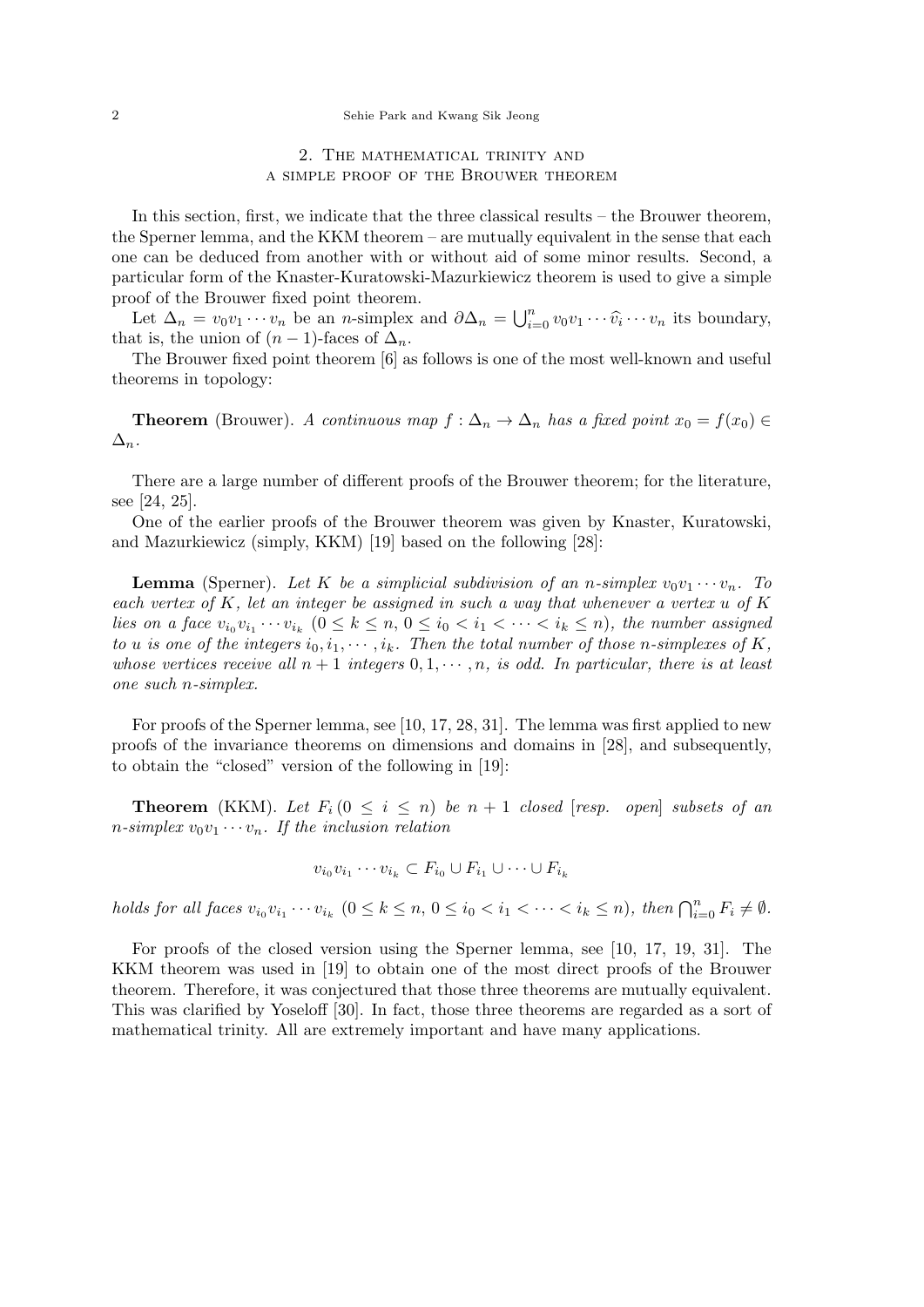## 2. The mathematical trinity and a simple proof of the Brouwer theorem

In this section, first, we indicate that the three classical results – the Brouwer theorem, the Sperner lemma, and the KKM theorem – are mutually equivalent in the sense that each one can be deduced from another with or without aid of some minor results. Second, a particular form of the Knaster-Kuratowski-Mazurkiewicz theorem is used to give a simple proof of the Brouwer fixed point theorem.

Let  $\Delta_n = v_0 v_1 \cdots v_n$  be an *n*-simplex and  $\partial \Delta_n = \bigcup_{i=0}^n v_0 v_1 \cdots \widehat{v_i} \cdots v_n$  its boundary, that is, the union of  $(n-1)$ -faces of  $\Delta_n$ .

The Brouwer fixed point theorem [6] as follows is one of the most well-known and useful theorems in topology:

**Theorem** (Brouwer). *A continuous map*  $f: \Delta_n \to \Delta_n$  *has a fixed point*  $x_0 = f(x_0) \in$  $\Delta_n$ *.* 

There are a large number of different proofs of the Brouwer theorem; for the literature, see [24, 25].

One of the earlier proofs of the Brouwer theorem was given by Knaster, Kuratowski, and Mazurkiewicz (simply, KKM) [19] based on the following [28]:

**Lemma** (Sperner). Let K be a simplicial subdivision of an *n*-simplex  $v_0v_1 \cdots v_n$ . To *each vertex of K, let an integer be assigned in such a way that whenever a vertex u of K* lies on a face  $v_{i_0}v_{i_1}\cdots v_{i_k}$   $(0 \leq k \leq n, 0 \leq i_0 < i_1 < \cdots < i_k \leq n)$ , the number assigned *to u is one of the integers*  $i_0, i_1, \dots, i_k$ *. Then the total number of those n-simplexes of*  $K$ *, whose vertices receive all*  $n+1$  *integers*  $0,1,\cdots,n$ *, is odd. In particular, there is at least one such n-simplex.*

For proofs of the Sperner lemma, see [10, 17, 28, 31]. The lemma was first applied to new proofs of the invariance theorems on dimensions and domains in [28], and subsequently, to obtain the "closed" version of the following in [19]:

**Theorem** (KKM). Let  $F_i$  ( $0 \leq i \leq n$ ) be  $n + 1$  closed [resp. open] subsets of an *n*-simplex  $v_0v_1 \cdots v_n$ . If the inclusion relation

$$
v_{i_0}v_{i_1}\cdots v_{i_k}\subset F_{i_0}\cup F_{i_1}\cup\cdots\cup F_{i_k}
$$

holds for all faces  $v_{i_0}v_{i_1}\cdots v_{i_k}$   $(0 \le k \le n, 0 \le i_0 < i_1 < \cdots < i_k \le n)$ , then  $\bigcap_{i=0}^n F_i \ne \emptyset$ .

For proofs of the closed version using the Sperner lemma, see [10, 17, 19, 31]. The KKM theorem was used in [19] to obtain one of the most direct proofs of the Brouwer theorem. Therefore, it was conjectured that those three theorems are mutually equivalent. This was clarified by Yoseloff [30]. In fact, those three theorems are regarded as a sort of mathematical trinity. All are extremely important and have many applications.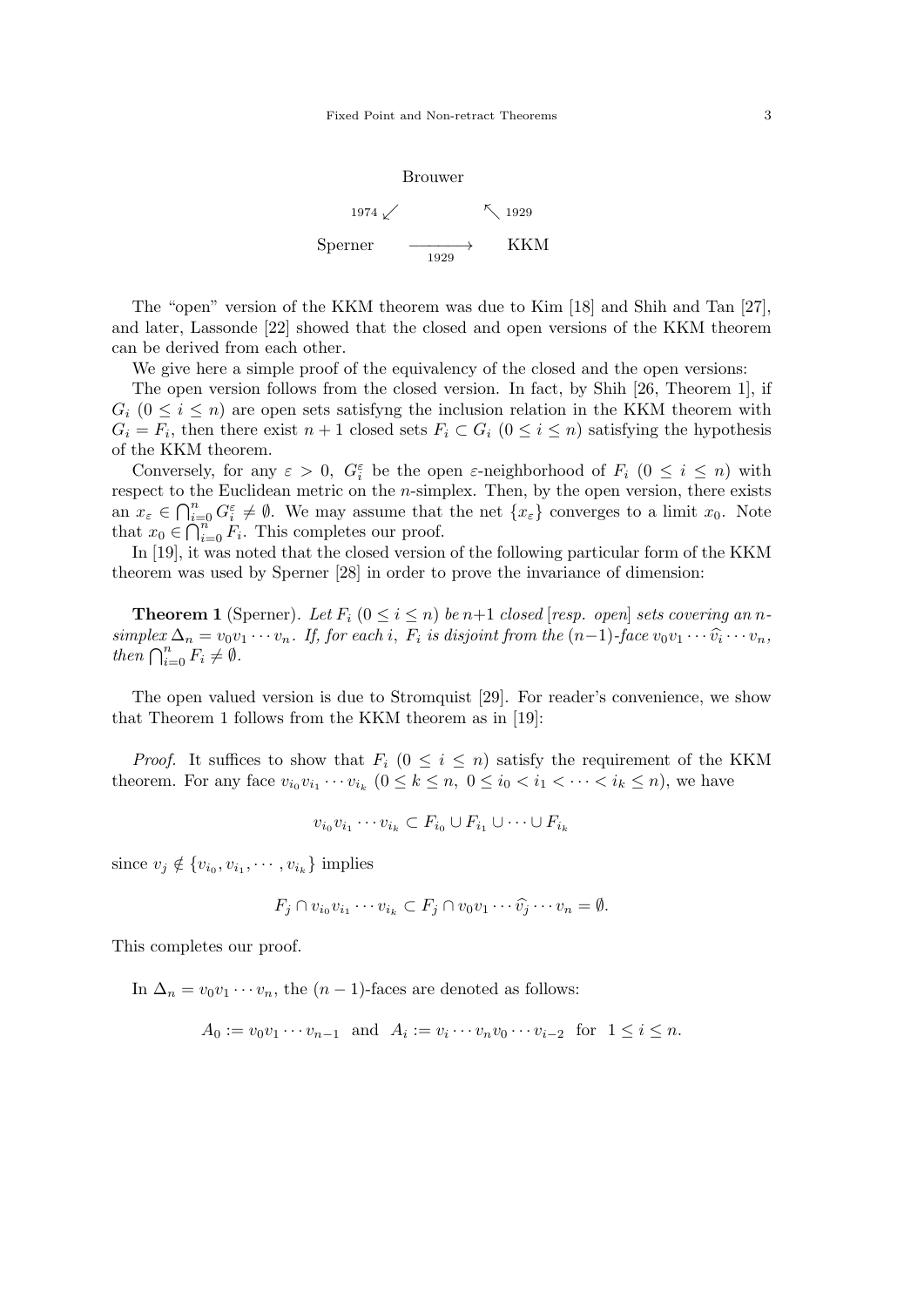

The "open" version of the KKM theorem was due to Kim [18] and Shih and Tan [27], and later, Lassonde [22] showed that the closed and open versions of the KKM theorem can be derived from each other.

We give here a simple proof of the equivalency of the closed and the open versions:

The open version follows from the closed version. In fact, by Shih [26, Theorem 1], if  $G_i$  ( $0 \leq i \leq n$ ) are open sets satisfyng the inclusion relation in the KKM theorem with  $G_i = F_i$ , then there exist  $n + 1$  closed sets  $F_i \subset G_i$  ( $0 \leq i \leq n$ ) satisfying the hypothesis of the KKM theorem.

Conversely, for any  $\varepsilon > 0$ ,  $G_i^{\varepsilon}$  be the open  $\varepsilon$ -neighborhood of  $F_i$   $(0 \leq i \leq n)$  with respect to the Euclidean metric on the *n*-simplex. Then, by the open version, there exists an  $x_{\varepsilon} \in \bigcap_{i=0}^{n} G_i^{\varepsilon} \neq \emptyset$ . We may assume that the net  $\{x_{\varepsilon}\}\)$  converges to a limit  $x_0$ . Note that  $x_0 \in \bigcap_{i=0}^n F_i$ . This completes our proof.

In [19], it was noted that the closed version of the following particular form of the KKM theorem was used by Sperner [28] in order to prove the invariance of dimension:

**Theorem 1** (Sperner). Let  $F_i$  ( $0 \leq i \leq n$ ) be  $n+1$  *closed* [*resp. open*] *sets covering an*  $n$ simplex  $\Delta_n = v_0 v_1 \cdots v_n$ . If, for each i,  $F_i$  is disjoint from the  $(n-1)$ -face  $v_0 v_1 \cdots \widehat{v}_i \cdots v_n$ , *then*  $\bigcap_{i=0}^{n} F_i \neq \emptyset$ *.* 

The open valued version is due to Stromquist [29]. For reader's convenience, we show that Theorem 1 follows from the KKM theorem as in [19]:

*Proof.* It suffices to show that  $F_i$  ( $0 \le i \le n$ ) satisfy the requirement of the KKM theorem. For any face  $v_{i_0}v_{i_1}\cdots v_{i_k}$   $(0 \le k \le n, 0 \le i_0 < i_1 < \cdots < i_k \le n)$ , we have

$$
v_{i_0}v_{i_1}\cdots v_{i_k}\subset F_{i_0}\cup F_{i_1}\cup\cdots\cup F_{i_k}
$$

since  $v_j \notin \{v_{i_0}, v_{i_1}, \cdots, v_{i_k}\}\$ implies

$$
F_j \cap v_{i_0}v_{i_1}\cdots v_{i_k} \subset F_j \cap v_0v_1\cdots \widehat{v_j}\cdots v_n = \emptyset.
$$

This completes our proof.

In  $\Delta_n = v_0 v_1 \cdots v_n$ , the  $(n-1)$ -faces are denoted as follows:

 $A_0 := v_0 v_1 \cdots v_{n-1}$  and  $A_i := v_i \cdots v_n v_0 \cdots v_{i-2}$  for  $1 \le i \le n$ .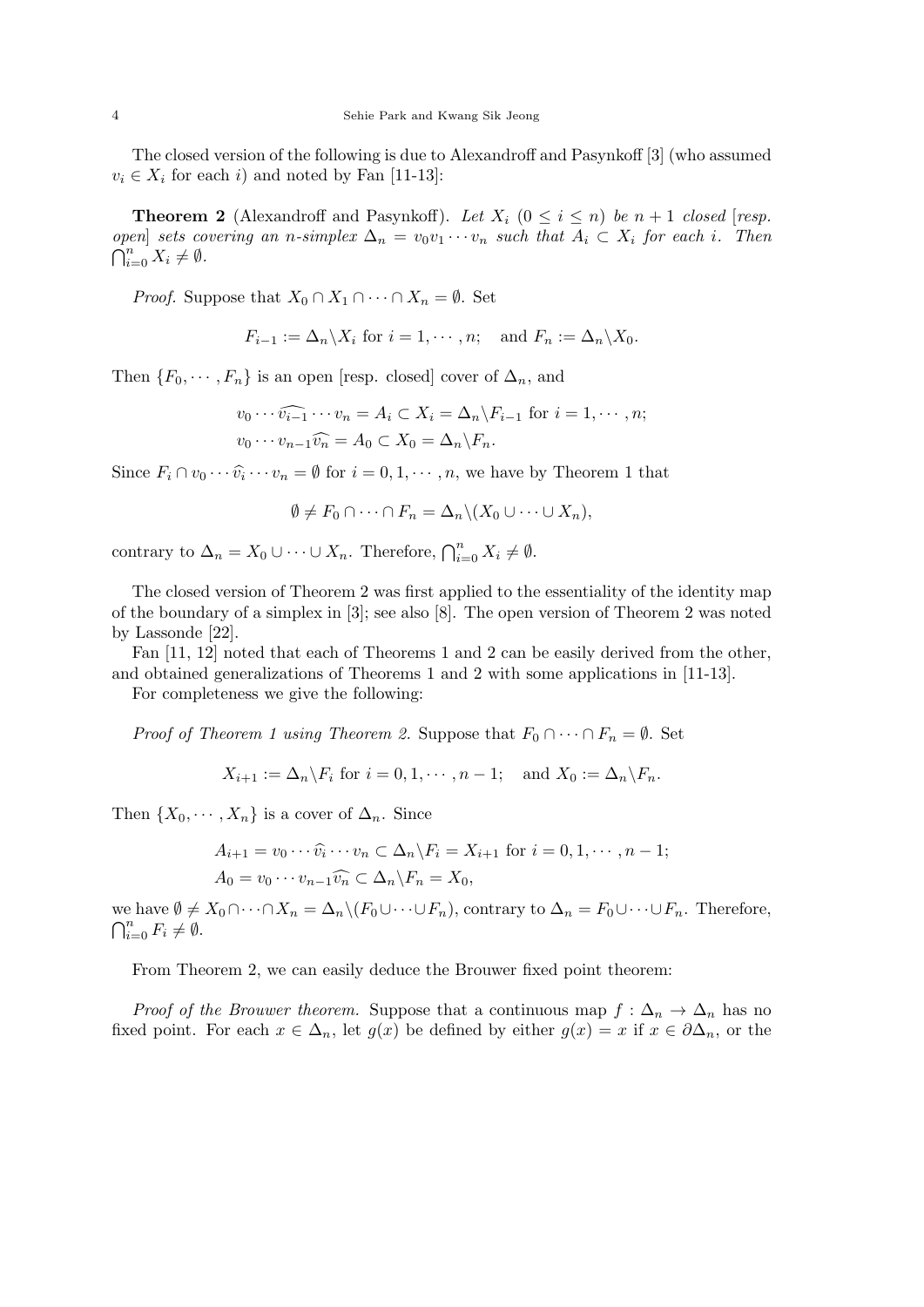The closed version of the following is due to Alexandroff and Pasynkoff [3] (who assumed  $v_i \in X_i$  for each *i*) and noted by Fan [11-13]:

**Theorem 2** (Alexandroff and Pasynkoff). Let  $X_i$  ( $0 \leq i \leq n$ ) be  $n+1$  closed [*resp. open*] *sets covering an n-simplex*  $\Delta_n = v_0v_1 \cdots v_n$  *such that*  $A_i \subset X_i$  *for each i. Then*  $\bigcap_{i=0}^{n} X_i \neq \emptyset$ .

*Proof.* Suppose that  $X_0 \cap X_1 \cap \cdots \cap X_n = \emptyset$ . Set

$$
F_{i-1} := \Delta_n \backslash X_i \text{ for } i = 1, \cdots, n; \text{ and } F_n := \Delta_n \backslash X_0.
$$

Then  ${F_0, \dots, F_n}$  is an open [resp. closed] cover of  $\Delta_n$ , and

$$
v_0 \cdots \widehat{v_{i-1}} \cdots v_n = A_i \subset X_i = \Delta_n \backslash F_{i-1} \text{ for } i = 1, \dots, n;
$$
  

$$
v_0 \cdots v_{n-1} \widehat{v_n} = A_0 \subset X_0 = \Delta_n \backslash F_n.
$$

Since  $F_i \cap v_0 \cdots \widehat{v_i} \cdots v_n = \emptyset$  for  $i = 0, 1, \dots, n$ , we have by Theorem 1 that

$$
\emptyset \neq F_0 \cap \dots \cap F_n = \Delta_n \setminus (X_0 \cup \dots \cup X_n),
$$

contrary to  $\Delta_n = X_0 \cup \cdots \cup X_n$ . Therefore,  $\bigcap_{i=0}^n X_i \neq \emptyset$ .

The closed version of Theorem 2 was first applied to the essentiality of the identity map of the boundary of a simplex in [3]; see also [8]. The open version of Theorem 2 was noted by Lassonde [22].

Fan [11, 12] noted that each of Theorems 1 and 2 can be easily derived from the other, and obtained generalizations of Theorems 1 and 2 with some applications in [11-13].

For completeness we give the following:

*Proof of Theorem 1 using Theorem 2.* Suppose that  $F_0 \cap \cdots \cap F_n = \emptyset$ . Set

$$
X_{i+1} := \Delta_n \backslash F_i \text{ for } i = 0, 1, \cdots, n-1; \text{ and } X_0 := \Delta_n \backslash F_n.
$$

Then  $\{X_0, \dots, X_n\}$  is a cover of  $\Delta_n$ . Since

$$
A_{i+1} = v_0 \cdots \widehat{v_i} \cdots v_n \subset \Delta_n \backslash F_i = X_{i+1} \text{ for } i = 0, 1, \cdots, n-1;
$$
  

$$
A_0 = v_0 \cdots v_{n-1} \widehat{v_n} \subset \Delta_n \backslash F_n = X_0,
$$

we have  $\emptyset \neq X_0 \cap \cdots \cap X_n = \Delta_n \setminus (F_0 \cup \cdots \cup F_n)$ , contrary to  $\Delta_n = F_0 \cup \cdots \cup F_n$ . Therefore,  $\bigcap_{i=0}^n F_i \neq \emptyset$ .

From Theorem 2, we can easily deduce the Brouwer fixed point theorem:

*Proof of the Brouwer theorem.* Suppose that a continuous map  $f : \Delta_n \to \Delta_n$  has no fixed point. For each  $x \in \Delta_n$ , let  $g(x)$  be defined by either  $g(x) = x$  if  $x \in \partial \Delta_n$ , or the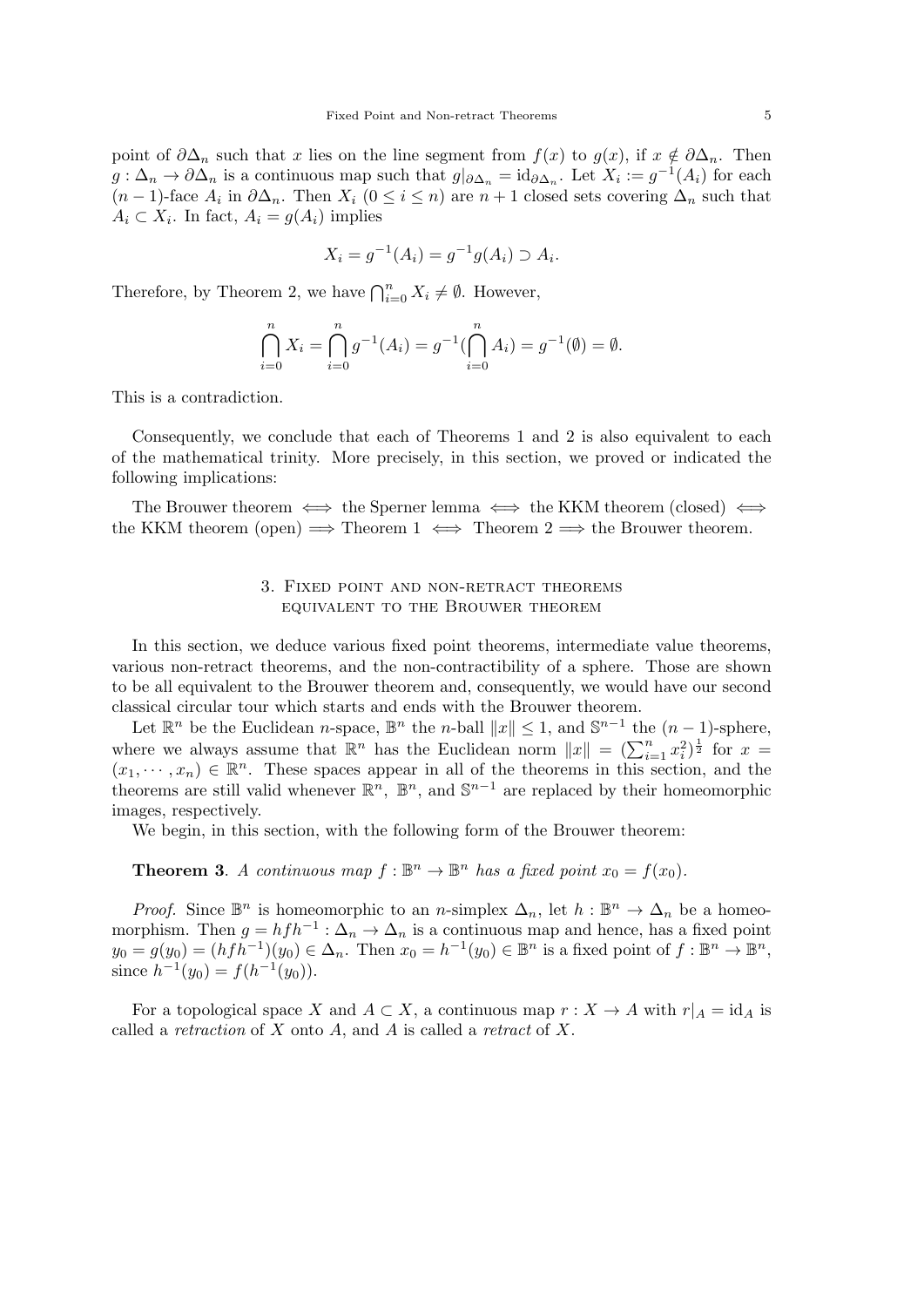point of  $\partial \Delta_n$  such that *x* lies on the line segment from  $f(x)$  to  $g(x)$ , if  $x \notin \partial \Delta_n$ . Then  $g: \Delta_n \to \partial \Delta_n$  is a continuous map such that  $g|_{\partial \Delta_n} = id_{\partial \Delta_n}$ . Let  $X_i := g^{-1}(A_i)$  for each  $(n-1)$ -face  $A_i$  in  $\partial \Delta_n$ . Then  $X_i$   $(0 \leq i \leq n)$  are  $n+1$  closed sets covering  $\Delta_n$  such that  $A_i \subset X_i$ . In fact,  $A_i = g(A_i)$  implies

$$
X_i = g^{-1}(A_i) = g^{-1}g(A_i) \supset A_i.
$$

Therefore, by Theorem 2, we have  $\bigcap_{i=0}^{n} X_i \neq \emptyset$ . However,

$$
\bigcap_{i=0}^{n} X_i = \bigcap_{i=0}^{n} g^{-1}(A_i) = g^{-1}(\bigcap_{i=0}^{n} A_i) = g^{-1}(\emptyset) = \emptyset.
$$

This is a contradiction.

Consequently, we conclude that each of Theorems 1 and 2 is also equivalent to each of the mathematical trinity. More precisely, in this section, we proved or indicated the following implications:

The Brouwer theorem *⇐⇒* the Sperner lemma *⇐⇒* the KKM theorem (closed) *⇐⇒* the KKM theorem (open)  $\implies$  Theorem 1  $\iff$  Theorem 2  $\implies$  the Brouwer theorem.

### 3. Fixed point and non-retract theorems equivalent to the Brouwer theorem

In this section, we deduce various fixed point theorems, intermediate value theorems, various non-retract theorems, and the non-contractibility of a sphere. Those are shown to be all equivalent to the Brouwer theorem and, consequently, we would have our second classical circular tour which starts and ends with the Brouwer theorem.

Let  $\mathbb{R}^n$  be the Euclidean *n*-space,  $\mathbb{B}^n$  the *n*-ball  $||x|| \leq 1$ , and  $\mathbb{S}^{n-1}$  the  $(n-1)$ -sphere, where we always assume that  $\mathbb{R}^n$  has the Euclidean norm  $||x|| = (\sum_{i=1}^n x_i^2)^{\frac{1}{2}}$  for  $x =$  $(x_1, \dots, x_n) \in \mathbb{R}^n$ . These spaces appear in all of the theorems in this section, and the theorems are still valid whenever  $\mathbb{R}^n$ ,  $\mathbb{B}^n$ , and  $\mathbb{S}^{n-1}$  are replaced by their homeomorphic images, respectively.

We begin, in this section, with the following form of the Brouwer theorem:

**Theorem 3**. *A continuous map*  $f: \mathbb{B}^n \to \mathbb{B}^n$  *has a fixed point*  $x_0 = f(x_0)$ *.* 

*Proof.* Since  $\mathbb{B}^n$  is homeomorphic to an *n*-simplex  $\Delta_n$ , let  $h : \mathbb{B}^n \to \Delta_n$  be a homeomorphism. Then  $g = h f h^{-1}$ :  $\Delta_n \to \Delta_n$  is a continuous map and hence, has a fixed point  $y_0 = g(y_0) = (hfh^{-1})(y_0) \in \Delta_n$ . Then  $x_0 = h^{-1}(y_0) \in \mathbb{B}^n$  is a fixed point of  $f: \mathbb{B}^n \to \mathbb{B}^n$ , since  $h^{-1}(y_0) = f(h^{-1}(y_0)).$ 

For a topological space *X* and  $A \subset X$ , a continuous map  $r : X \to A$  with  $r|_A = id_A$  is called a *retraction* of *X* onto *A*, and *A* is called a *retract* of *X*.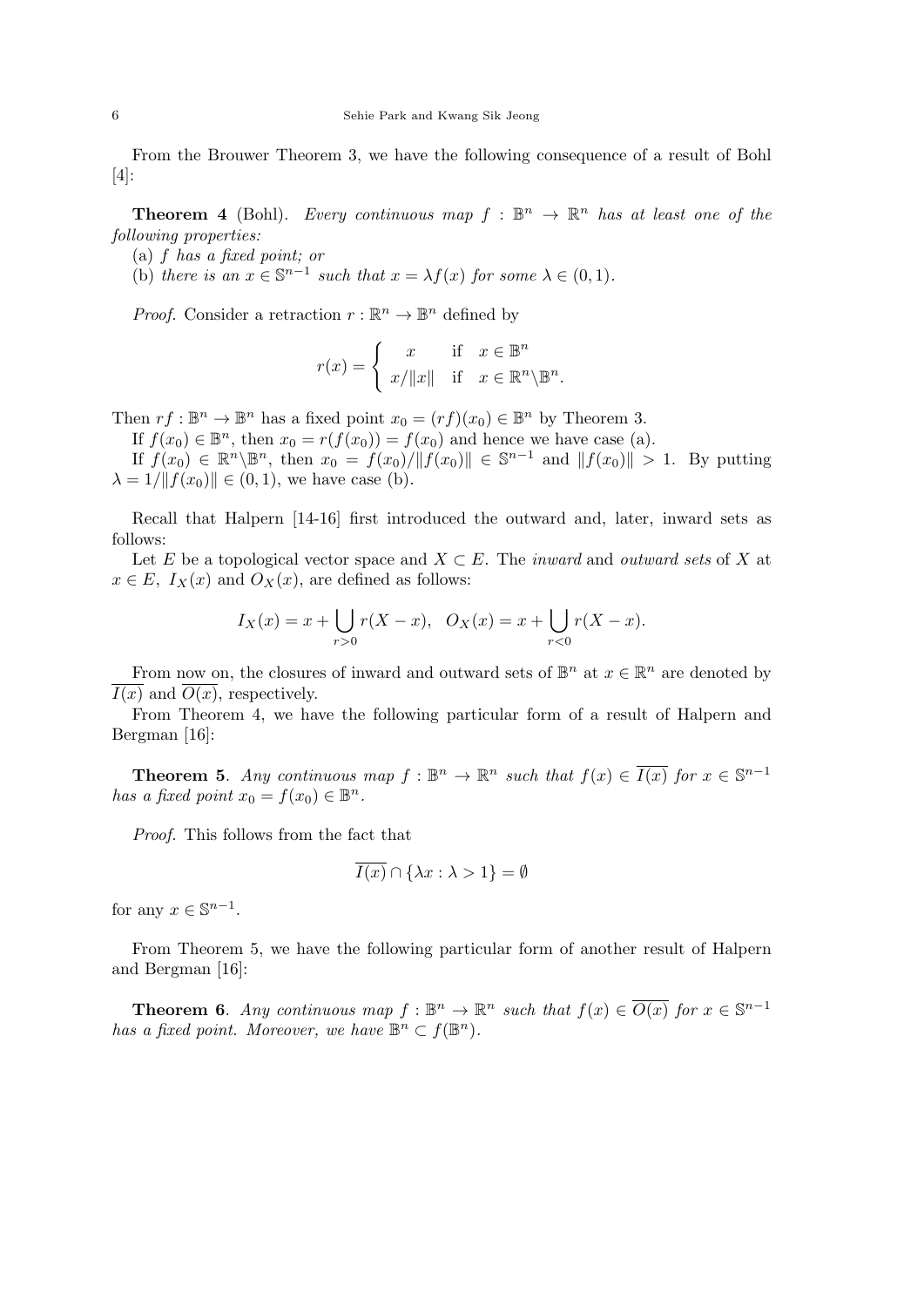From the Brouwer Theorem 3, we have the following consequence of a result of Bohl [4]:

**Theorem 4** (Bohl). *Every continuous map*  $f : \mathbb{B}^n \to \mathbb{R}^n$  *has at least one of the following properties:*

- (a) *f has a fixed point; or*
- (b) *there is an*  $x \in \mathbb{S}^{n-1}$  *such that*  $x = \lambda f(x)$  *for some*  $\lambda \in (0,1)$ *.*

*Proof.* Consider a retraction  $r : \mathbb{R}^n \to \mathbb{B}^n$  defined by

$$
r(x) = \begin{cases} x & \text{if } x \in \mathbb{B}^n \\ x/\|x\| & \text{if } x \in \mathbb{R}^n \backslash \mathbb{B}^n. \end{cases}
$$

Then  $rf : \mathbb{B}^n \to \mathbb{B}^n$  has a fixed point  $x_0 = (rf)(x_0) \in \mathbb{B}^n$  by Theorem 3.

If  $f(x_0) \in \mathbb{B}^n$ , then  $x_0 = r(f(x_0)) = f(x_0)$  and hence we have case (a).

If  $f(x_0) \in \mathbb{R}^n \setminus \mathbb{B}^n$ , then  $x_0 = f(x_0)/\|f(x_0)\| \in \mathbb{S}^{n-1}$  and  $\|f(x_0)\| > 1$ . By putting  $\lambda = 1/||f(x_0)|| \in (0, 1)$ , we have case (b).

Recall that Halpern [14-16] first introduced the outward and, later, inward sets as follows:

Let *E* be a topological vector space and *X ⊂ E*. The *inward* and *outward sets* of *X* at  $x \in E$ ,  $I_X(x)$  and  $O_X(x)$ , are defined as follows:

$$
I_X(x) = x + \bigcup_{r>0} r(X - x), \quad O_X(x) = x + \bigcup_{r<0} r(X - x).
$$

From now on, the closures of inward and outward sets of  $\mathbb{B}^n$  at  $x \in \mathbb{R}^n$  are denoted by  $I(x)$  and  $O(x)$ , respectively.

From Theorem 4, we have the following particular form of a result of Halpern and Bergman [16]:

**Theorem 5.** *Any continuous map*  $f : \mathbb{B}^n \to \mathbb{R}^n$  *such that*  $f(x) \in \overline{I(x)}$  *for*  $x \in \mathbb{S}^{n-1}$ *has a fixed point*  $x_0 = f(x_0) \in \mathbb{B}^n$ .

*Proof.* This follows from the fact that

$$
\overline{I(x)} \cap \{\lambda x : \lambda > 1\} = \emptyset
$$

for any  $x \in \mathbb{S}^{n-1}$ .

From Theorem 5, we have the following particular form of another result of Halpern and Bergman [16]:

**Theorem 6.** *Any continuous map*  $f : \mathbb{B}^n \to \mathbb{R}^n$  *such that*  $f(x) \in \overline{O(x)}$  *for*  $x \in \mathbb{S}^{n-1}$ *has a fixed point. Moreover, we have*  $\mathbb{B}^n \subset f(\mathbb{B}^n)$ *.*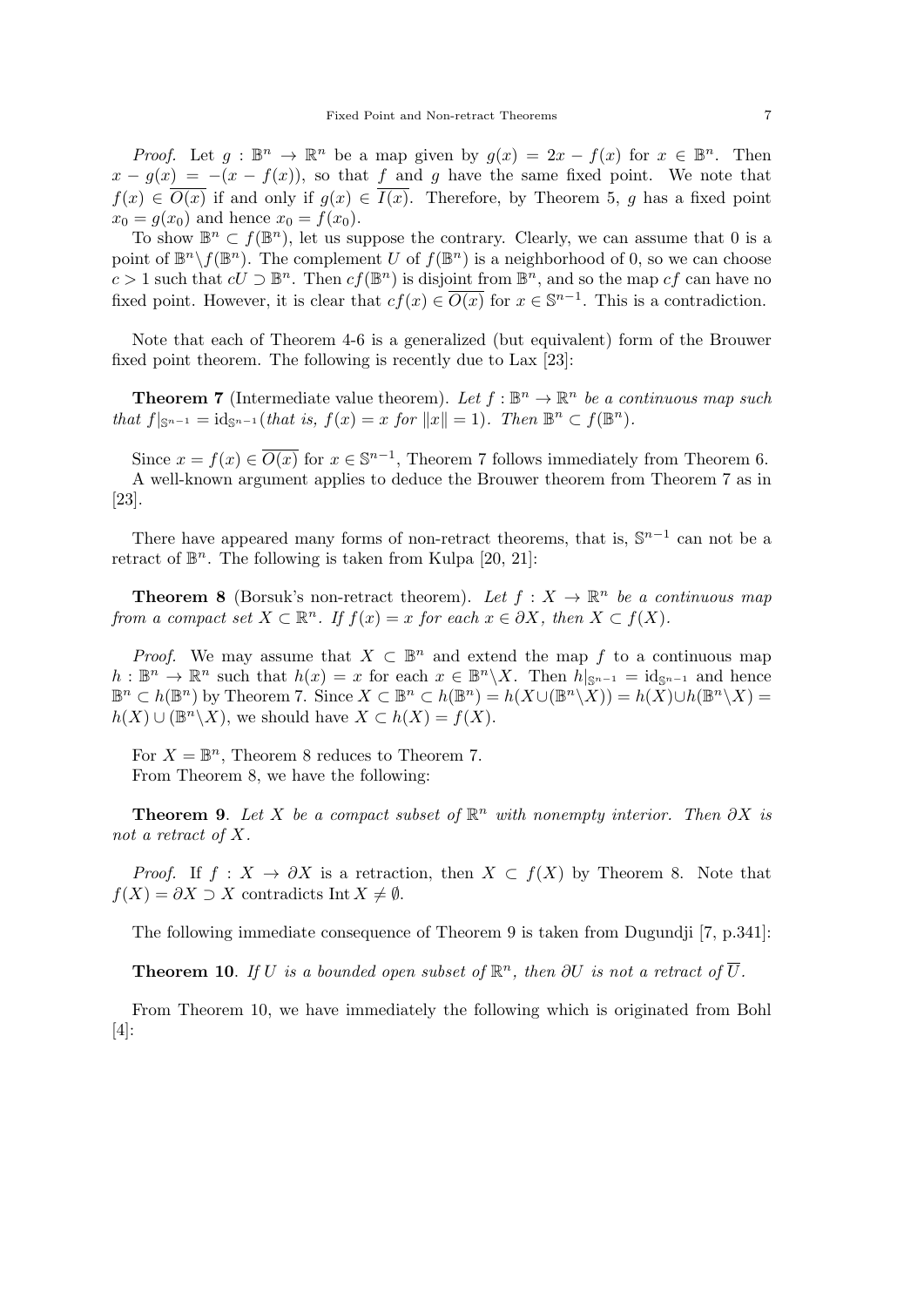*Proof.* Let  $g : \mathbb{B}^n \to \mathbb{R}^n$  be a map given by  $g(x) = 2x - f(x)$  for  $x \in \mathbb{B}^n$ . Then  $x - g(x) = -(x - f(x))$ , so that *f* and *g* have the same fixed point. We note that  $f(x) \in \overline{O(x)}$  if and only if  $g(x) \in \overline{I(x)}$ . Therefore, by Theorem 5, *g* has a fixed point  $x_0 = g(x_0)$  and hence  $x_0 = f(x_0)$ .

To show  $\mathbb{B}^n \subset f(\mathbb{B}^n)$ , let us suppose the contrary. Clearly, we can assume that 0 is a point of  $\mathbb{B}^n \setminus f(\mathbb{B}^n)$ . The complement *U* of  $f(\mathbb{B}^n)$  is a neighborhood of 0, so we can choose *c* > 1 such that  $cU$  ⊃  $\mathbb{B}^n$ . Then  $cf(\mathbb{B}^n)$  is disjoint from  $\mathbb{B}^n$ , and so the map  $cf$  can have no fixed point. However, it is clear that  $cf(x) \in \overline{O(x)}$  for  $x \in \mathbb{S}^{n-1}$ . This is a contradiction.

Note that each of Theorem 4-6 is a generalized (but equivalent) form of the Brouwer fixed point theorem. The following is recently due to Lax [23]:

**Theorem 7** (Intermediate value theorem). Let  $f : \mathbb{B}^n \to \mathbb{R}^n$  be a continuous map such *that*  $f|_{\mathbb{S}^{n-1}} = \text{id}_{\mathbb{S}^{n-1}}(\text{that is, } f(x) = x \text{ for } ||x|| = 1)$ *. Then*  $\mathbb{B}^n \subset f(\mathbb{B}^n)$ *.* 

Since  $x = f(x) \in \overline{O(x)}$  for  $x \in \mathbb{S}^{n-1}$ , Theorem 7 follows immediately from Theorem 6. A well-known argument applies to deduce the Brouwer theorem from Theorem 7 as in [23].

There have appeared many forms of non-retract theorems, that is,  $\mathbb{S}^{n-1}$  can not be a retract of  $\mathbb{B}^n$ . The following is taken from Kulpa [20, 21]:

**Theorem 8** (Borsuk's non-retract theorem). Let  $f: X \to \mathbb{R}^n$  be a continuous map *from a compact set*  $X \subset \mathbb{R}^n$ *. If*  $f(x) = x$  *for each*  $x \in \partial X$ *, then*  $X \subset f(X)$ *.* 

*Proof.* We may assume that  $X \subset \mathbb{B}^n$  and extend the map f to a continuous map  $h: \mathbb{B}^n \to \mathbb{R}^n$  such that  $h(x) = x$  for each  $x \in \mathbb{B}^n \setminus X$ . Then  $h|_{\mathbb{S}^{n-1}} = \mathrm{id}_{\mathbb{S}^{n-1}}$  and hence  $\mathbb{B}^n \subset h(\mathbb{B}^n)$  by Theorem 7. Since  $X \subset \mathbb{B}^n \subset h(\mathbb{B}^n) = h(X \cup (\mathbb{B}^n \setminus X)) = h(X) \cup h(\mathbb{B}^n \setminus X) =$  $h(X) \cup (\mathbb{B}^n \setminus X)$ , we should have  $X \subset h(X) = f(X)$ .

For  $X = \mathbb{B}^n$ , Theorem 8 reduces to Theorem 7. From Theorem 8, we have the following:

**Theorem 9.** *Let*  $X$  *be a compact subset of*  $\mathbb{R}^n$  *with nonempty interior. Then*  $\partial X$  *is not a retract of X.*

*Proof.* If  $f: X \to \partial X$  is a retraction, then  $X \subset f(X)$  by Theorem 8. Note that *f*(*X*) =  $\partial X$  *⊃ X* contradicts Int *X*  $\neq$  *Ø*.

The following immediate consequence of Theorem 9 is taken from Dugundji [7, p.341]:

**Theorem 10**. *If U is a bounded open subset of*  $\mathbb{R}^n$ *, then*  $\partial U$  *is not a retract of*  $\overline{U}$ *.* 

From Theorem 10, we have immediately the following which is originated from Bohl [4]: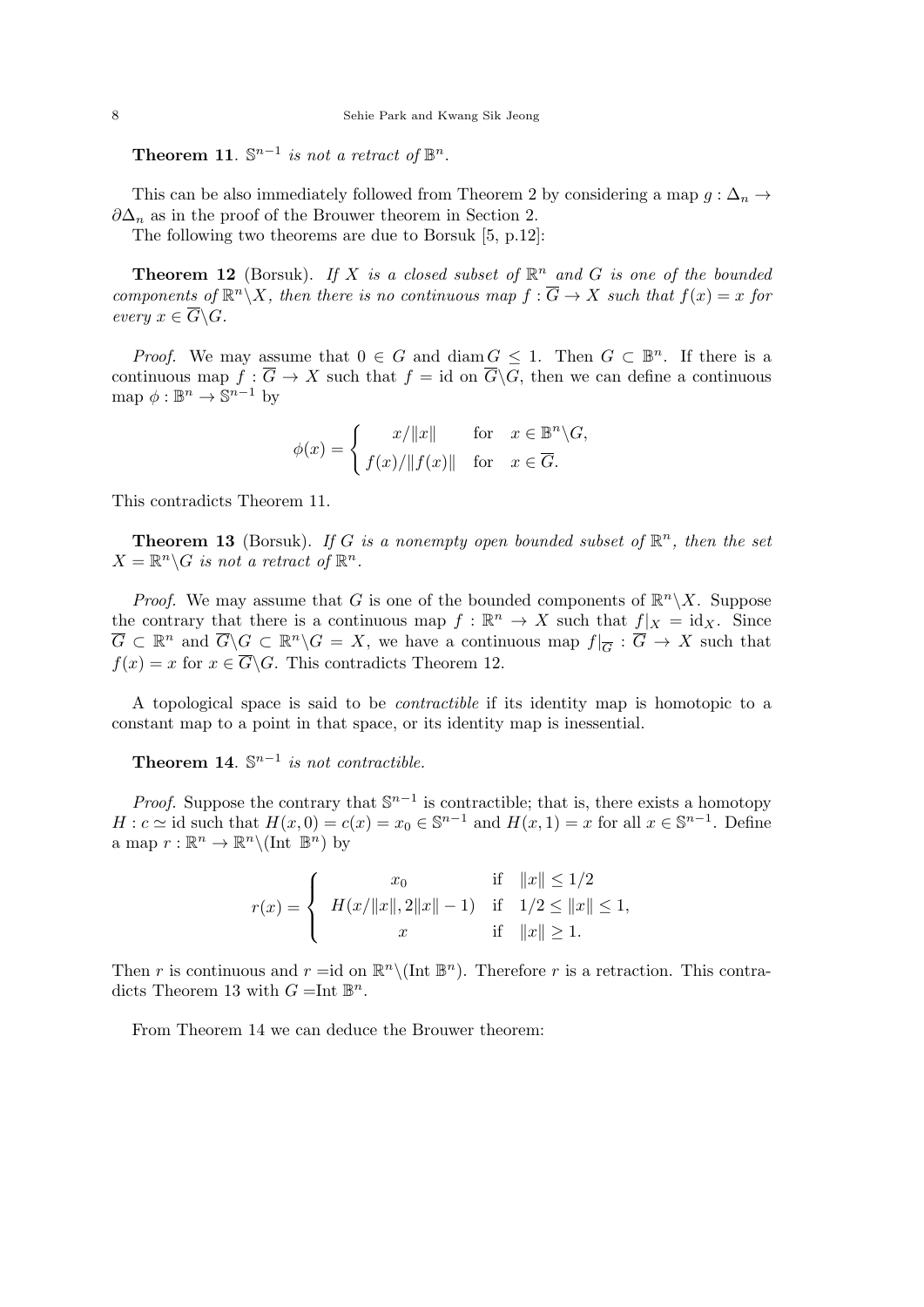**Theorem 11**.  $\mathbb{S}^{n-1}$  *is not a retract of*  $\mathbb{B}^n$ .

This can be also immediately followed from Theorem 2 by considering a map  $g : \Delta_n \to$ *∂*∆*<sup>n</sup>* as in the proof of the Brouwer theorem in Section 2.

The following two theorems are due to Borsuk [5, p.12]:

**Theorem 12** (Borsuk). If X is a closed subset of  $\mathbb{R}^n$  and G is one of the bounded *components of*  $\mathbb{R}^n \setminus X$ *, then there is no continuous map*  $f : \overline{G} \to X$  *such that*  $f(x) = x$  *for every*  $x \in \overline{G} \backslash G$ *.* 

*Proof.* We may assume that  $0 \in G$  and diam  $G \leq 1$ . Then  $G \subset \mathbb{B}^n$ . If there is a continuous map  $f : \overline{G} \to X$  such that  $f = id$  on  $\overline{G} \backslash G$ , then we can define a continuous map  $\phi : \mathbb{B}^n \to \mathbb{S}^{n-1}$  by

$$
\phi(x) = \begin{cases} x/\|x\| & \text{for } x \in \mathbb{B}^n \backslash G, \\ f(x)/\|f(x)\| & \text{for } x \in \overline{G}. \end{cases}
$$

This contradicts Theorem 11.

**Theorem 13** (Borsuk). If G is a nonempty open bounded subset of  $\mathbb{R}^n$ , then the set  $X = \mathbb{R}^n \backslash G$  *is not a retract of*  $\mathbb{R}^n$ *.* 

*Proof.* We may assume that *G* is one of the bounded components of  $\mathbb{R}^n \setminus X$ . Suppose the contrary that there is a continuous map  $f : \mathbb{R}^n \to X$  such that  $f|_X = id_X$ . Since  $\overline{G} \subset \mathbb{R}^n$  and  $\overline{G} \backslash G \subset \mathbb{R}^n \backslash G = X$ , we have a continuous map  $f|_{\overline{G}} : \overline{G} \to X$  such that  $f(x) = x$  for  $x \in \overline{G} \backslash G$ . This contradicts Theorem 12.

A topological space is said to be *contractible* if its identity map is homotopic to a constant map to a point in that space, or its identity map is inessential.

**Theorem 14.**  $\mathbb{S}^{n-1}$  *is not contractible.* 

*Proof.* Suppose the contrary that  $\mathbb{S}^{n-1}$  is contractible; that is, there exists a homotopy *H* : *c*  $\simeq$  id such that  $H(x, 0) = c(x) = x_0 \in \mathbb{S}^{n-1}$  and  $H(x, 1) = x$  for all  $x \in \mathbb{S}^{n-1}$ . Define a map  $r : \mathbb{R}^n \to \mathbb{R}^n \setminus (\text{Int } \mathbb{B}^n)$  by

$$
r(x) = \begin{cases} x_0 & \text{if } ||x|| \le 1/2 \\ H(x/||x||, 2||x|| - 1) & \text{if } 1/2 \le ||x|| \le 1, \\ x & \text{if } ||x|| \ge 1. \end{cases}
$$

Then *r* is continuous and  $r = id$  on  $\mathbb{R}^n \setminus (\text{Int } \mathbb{B}^n)$ . Therefore *r* is a retraction. This contradicts Theorem 13 with  $G = \text{Int } \mathbb{B}^n$ .

From Theorem 14 we can deduce the Brouwer theorem: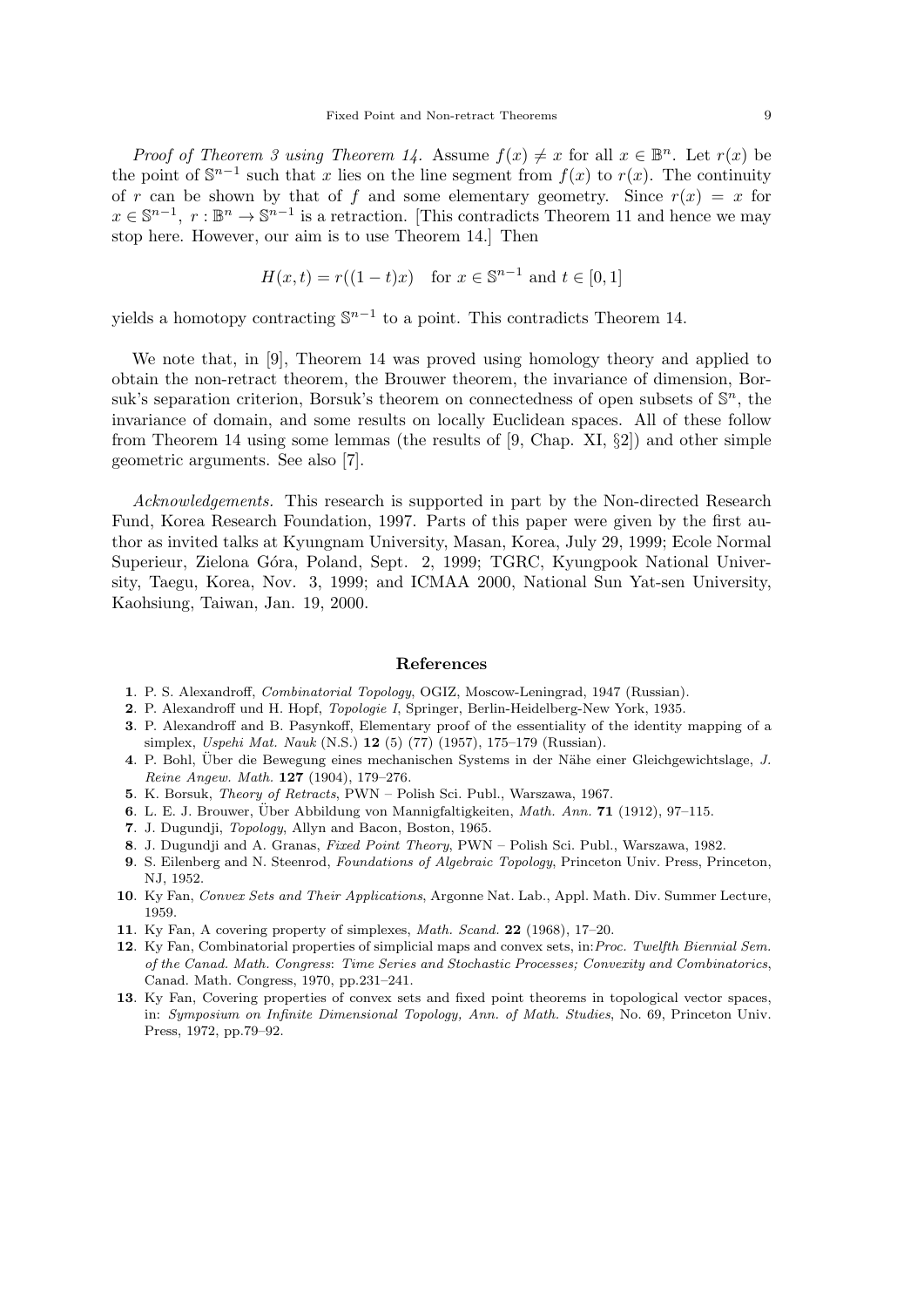*Proof of Theorem 3 using Theorem 14.* Assume  $f(x) \neq x$  for all  $x \in \mathbb{B}^n$ . Let  $r(x)$  be the point of  $\mathbb{S}^{n-1}$  such that *x* lies on the line segment from  $f(x)$  to  $r(x)$ . The continuity of *r* can be shown by that of *f* and some elementary geometry. Since  $r(x) = x$  for  $x \in \mathbb{S}^{n-1}$ ,  $r : \mathbb{B}^n \to \mathbb{S}^{n-1}$  is a retraction. [This contradicts Theorem 11 and hence we may stop here. However, our aim is to use Theorem 14.] Then

$$
H(x,t) = r((1-t)x) \text{ for } x \in \mathbb{S}^{n-1} \text{ and } t \in [0,1]
$$

yields a homotopy contracting  $\mathbb{S}^{n-1}$  to a point. This contradicts Theorem 14.

We note that, in [9], Theorem 14 was proved using homology theory and applied to obtain the non-retract theorem, the Brouwer theorem, the invariance of dimension, Borsuk's separation criterion, Borsuk's theorem on connectedness of open subsets of S *<sup>n</sup>*, the invariance of domain, and some results on locally Euclidean spaces. All of these follow from Theorem 14 using some lemmas (the results of [9, Chap. XI, *§*2]) and other simple geometric arguments. See also [7].

*Acknowledgements.* This research is supported in part by the Non-directed Research Fund, Korea Research Foundation, 1997. Parts of this paper were given by the first author as invited talks at Kyungnam University, Masan, Korea, July 29, 1999; Ecole Normal Superieur, Zielona Góra, Poland, Sept. 2, 1999; TGRC, Kyungpook National University, Taegu, Korea, Nov. 3, 1999; and ICMAA 2000, National Sun Yat-sen University, Kaohsiung, Taiwan, Jan. 19, 2000.

#### **References**

- **1**. P. S. Alexandroff, *Combinatorial Topology*, OGIZ, Moscow-Leningrad, 1947 (Russian).
- **2**. P. Alexandroff und H. Hopf, *Topologie I*, Springer, Berlin-Heidelberg-New York, 1935.
- **3**. P. Alexandroff and B. Pasynkoff, Elementary proof of the essentiality of the identity mapping of a simplex, *Uspehi Mat. Nauk* (N.S.) **12** (5) (77) (1957), 175–179 (Russian).
- **4**. P. Bohl, Über die Bewegung eines mechanischen Systems in der Nähe einer Gleichgewichtslage, *J. Reine Angew. Math.* **127** (1904), 179–276.
- **5**. K. Borsuk, *Theory of Retracts*, PWN Polish Sci. Publ., Warszawa, 1967.
- **6**. L. E. J. Brouwer, Über Abbildung von Mannigfaltigkeiten, *Math. Ann.* **71** (1912), 97–115.
- **7**. J. Dugundji, *Topology*, Allyn and Bacon, Boston, 1965.
- **8**. J. Dugundji and A. Granas, *Fixed Point Theory*, PWN Polish Sci. Publ., Warszawa, 1982.
- **9**. S. Eilenberg and N. Steenrod, *Foundations of Algebraic Topology*, Princeton Univ. Press, Princeton, NJ, 1952.
- **10**. Ky Fan, *Convex Sets and Their Applications*, Argonne Nat. Lab., Appl. Math. Div. Summer Lecture, 1959.
- **11**. Ky Fan, A covering property of simplexes, *Math. Scand.* **22** (1968), 17–20.
- **12**. Ky Fan, Combinatorial properties of simplicial maps and convex sets, in:*Proc. Twelfth Biennial Sem. of the Canad. Math. Congress*: *Time Series and Stochastic Processes; Convexity and Combinatorics*, Canad. Math. Congress, 1970, pp.231–241.
- **13**. Ky Fan, Covering properties of convex sets and fixed point theorems in topological vector spaces, in: *Symposium on Infinite Dimensional Topology, Ann. of Math. Studies*, No. 69, Princeton Univ. Press, 1972, pp.79–92.